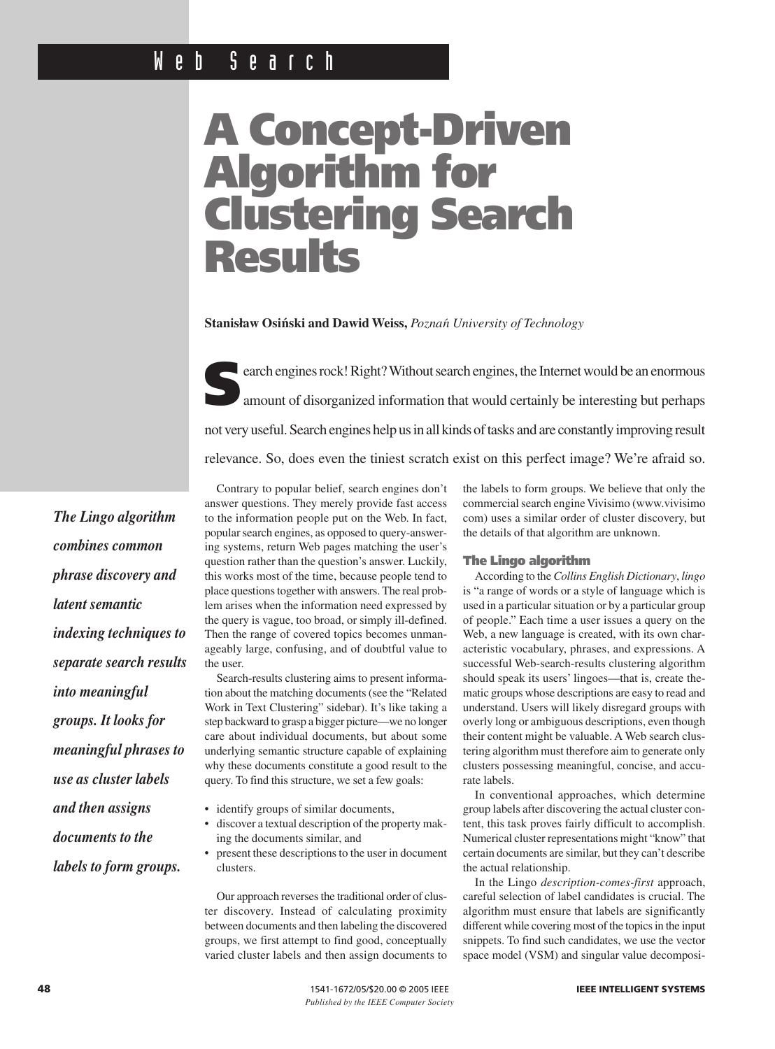# **A Concept-Driven Algorithm for Clustering Search Results**

# **Stanisław Osiński and Dawid Weiss, Poznań University of Technology**



earch engines rock! Right? Without search engines, the Internet would be an enormous amount of disorganized information that would certainly be interesting but perhaps not very useful. Search engines help us in all kinds of tasks and are constantly improving result relevance. So, does even the tiniest scratch exist on this perfect image? We're afraid so.

*The Lingo algorithm combines common phrase discovery and latent semantic indexing techniques to separate search results into meaningful groups. It looks for meaningful phrases to use as cluster labels and then assigns documents to the labels to form groups.* 

Contrary to popular belief, search engines don't answer questions. They merely provide fast access to the information people put on the Web. In fact, popular search engines, as opposed to query-answering systems, return Web pages matching the user's question rather than the question's answer. Luckily, this works most of the time, because people tend to place questions together with answers. The real problem arises when the information need expressed by the query is vague, too broad, or simply ill-defined. Then the range of covered topics becomes unmanageably large, confusing, and of doubtful value to the user.

Search-results clustering aims to present information about the matching documents (see the "Related Work in Text Clustering" sidebar). It's like taking a step backward to grasp a bigger picture—we no longer care about individual documents, but about some underlying semantic structure capable of explaining why these documents constitute a good result to the query. To find this structure, we set a few goals:

- identify groups of similar documents,
- discover a textual description of the property making the documents similar, and
- present these descriptions to the user in document clusters.

Our approach reverses the traditional order of cluster discovery. Instead of calculating proximity between documents and then labeling the discovered groups, we first attempt to find good, conceptually varied cluster labels and then assign documents to the labels to form groups. We believe that only the commercial search engine Vivisimo (www.vivisimo com) uses a similar order of cluster discovery, but the details of that algorithm are unknown.

# **The Lingo algorithm**

According to the *Collins English Dictionary*, *lingo* is "a range of words or a style of language which is used in a particular situation or by a particular group of people." Each time a user issues a query on the Web, a new language is created, with its own characteristic vocabulary, phrases, and expressions. A successful Web-search-results clustering algorithm should speak its users' lingoes—that is, create thematic groups whose descriptions are easy to read and understand. Users will likely disregard groups with overly long or ambiguous descriptions, even though their content might be valuable. A Web search clustering algorithm must therefore aim to generate only clusters possessing meaningful, concise, and accurate labels.

In conventional approaches, which determine group labels after discovering the actual cluster content, this task proves fairly difficult to accomplish. Numerical cluster representations might "know" that certain documents are similar, but they can't describe the actual relationship.

In the Lingo *description-comes-first* approach, careful selection of label candidates is crucial. The algorithm must ensure that labels are significantly different while covering most of the topics in the input snippets. To find such candidates, we use the vector space model (VSM) and singular value decomposi-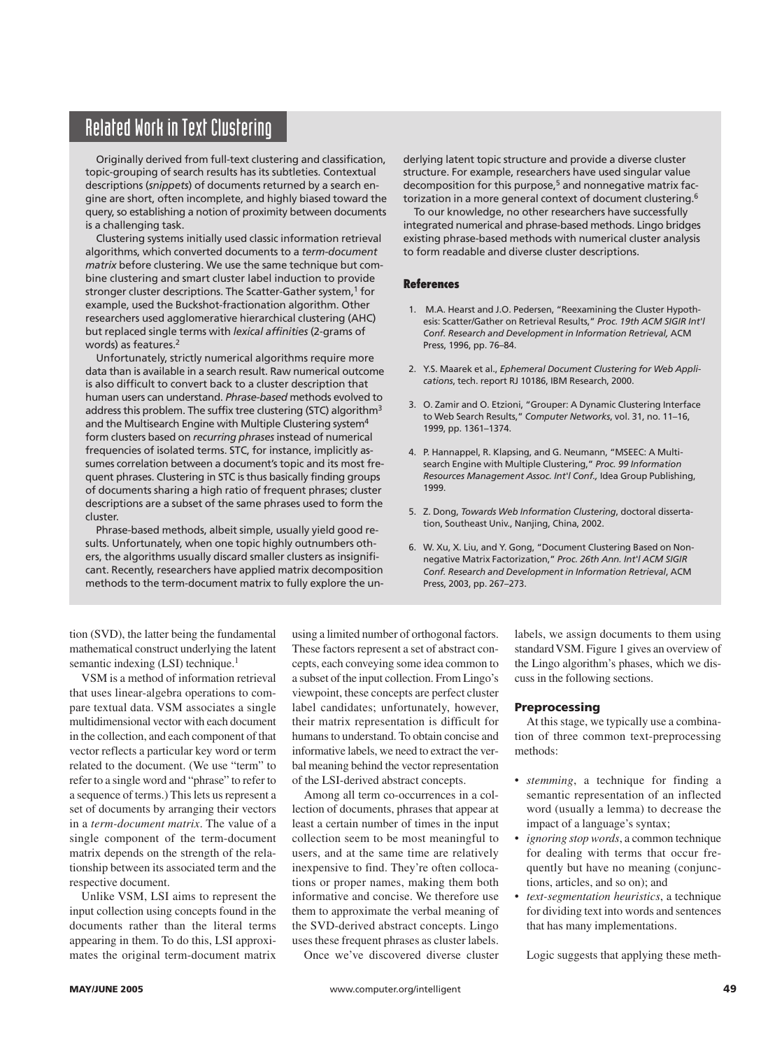# Related Work in Text Clustering

Originally derived from full-text clustering and classification, topic-grouping of search results has its subtleties. Contextual descriptions (*snippets*) of documents returned by a search engine are short, often incomplete, and highly biased toward the query, so establishing a notion of proximity between documents is a challenging task.

Clustering systems initially used classic information retrieval algorithms, which converted documents to a *term-document matrix* before clustering. We use the same technique but combine clustering and smart cluster label induction to provide stronger cluster descriptions. The Scatter-Gather system,<sup>1</sup> for example, used the Buckshot-fractionation algorithm. Other researchers used agglomerative hierarchical clustering (AHC) but replaced single terms with *lexical affinities* (2-grams of words) as features.<sup>2</sup>

Unfortunately, strictly numerical algorithms require more data than is available in a search result. Raw numerical outcome is also difficult to convert back to a cluster description that human users can understand. *Phrase-based* methods evolved to address this problem. The suffix tree clustering (STC) algorithm<sup>3</sup> and the Multisearch Engine with Multiple Clustering system<sup>4</sup> form clusters based on *recurring phrases* instead of numerical frequencies of isolated terms. STC, for instance, implicitly assumes correlation between a document's topic and its most frequent phrases. Clustering in STC is thus basically finding groups of documents sharing a high ratio of frequent phrases; cluster descriptions are a subset of the same phrases used to form the cluster.

Phrase-based methods, albeit simple, usually yield good results. Unfortunately, when one topic highly outnumbers others, the algorithms usually discard smaller clusters as insignificant. Recently, researchers have applied matrix decomposition methods to the term-document matrix to fully explore the underlying latent topic structure and provide a diverse cluster structure. For example, researchers have used singular value decomposition for this purpose, $5$  and nonnegative matrix factorization in a more general context of document clustering.6

To our knowledge, no other researchers have successfully integrated numerical and phrase-based methods. Lingo bridges existing phrase-based methods with numerical cluster analysis to form readable and diverse cluster descriptions.

# **References**

- 1. M.A. Hearst and J.O. Pedersen, "Reexamining the Cluster Hypothesis: Scatter/Gather on Retrieval Results," *Proc. 19th ACM SIGIR Int'l Conf. Research and Development in Information Retrieval,* ACM Press, 1996, pp. 76–84.
- 2. Y.S. Maarek et al., *Ephemeral Document Clustering for Web Applications*, tech. report RJ 10186, IBM Research, 2000.
- 3. O. Zamir and O. Etzioni, "Grouper: A Dynamic Clustering Interface to Web Search Results," *Computer Networks*, vol. 31, no. 11–16, 1999, pp. 1361–1374.
- 4. P. Hannappel, R. Klapsing, and G. Neumann, "MSEEC: A Multisearch Engine with Multiple Clustering," *Proc. 99 Information Resources Management Assoc. Int'l Conf.,* Idea Group Publishing, 1999.
- 5. Z. Dong, *Towards Web Information Clustering*, doctoral dissertation, Southeast Univ., Nanjing, China, 2002.
- 6. W. Xu, X. Liu, and Y. Gong, "Document Clustering Based on Nonnegative Matrix Factorization," *Proc. 26th Ann. Int'l ACM SIGIR Conf. Research and Development in Information Retrieval*, ACM Press, 2003, pp. 267–273.

tion (SVD), the latter being the fundamental mathematical construct underlying the latent semantic indexing (LSI) technique.<sup>1</sup>

VSM is a method of information retrieval that uses linear-algebra operations to compare textual data. VSM associates a single multidimensional vector with each document in the collection, and each component of that vector reflects a particular key word or term related to the document. (We use "term" to refer to a single word and "phrase" to refer to a sequence of terms.) This lets us represent a set of documents by arranging their vectors in a *term-document matrix*. The value of a single component of the term-document matrix depends on the strength of the relationship between its associated term and the respective document.

Unlike VSM, LSI aims to represent the input collection using concepts found in the documents rather than the literal terms appearing in them. To do this, LSI approximates the original term-document matrix

using a limited number of orthogonal factors. These factors represent a set of abstract concepts, each conveying some idea common to a subset of the input collection. From Lingo's viewpoint, these concepts are perfect cluster label candidates; unfortunately, however, their matrix representation is difficult for humans to understand. To obtain concise and informative labels, we need to extract the verbal meaning behind the vector representation of the LSI-derived abstract concepts.

Among all term co-occurrences in a collection of documents, phrases that appear at least a certain number of times in the input collection seem to be most meaningful to users, and at the same time are relatively inexpensive to find. They're often collocations or proper names, making them both informative and concise. We therefore use them to approximate the verbal meaning of the SVD-derived abstract concepts. Lingo uses these frequent phrases as cluster labels.

Once we've discovered diverse cluster

labels, we assign documents to them using standard VSM. Figure 1 gives an overview of the Lingo algorithm's phases, which we discuss in the following sections.

# **Preprocessing**

At this stage, we typically use a combination of three common text-preprocessing methods:

- *stemming*, a technique for finding a semantic representation of an inflected word (usually a lemma) to decrease the impact of a language's syntax;
- *ignoring stop words*, a common technique for dealing with terms that occur frequently but have no meaning (conjunctions, articles, and so on); and
- *text-segmentation heuristics*, a technique for dividing text into words and sentences that has many implementations.

Logic suggests that applying these meth-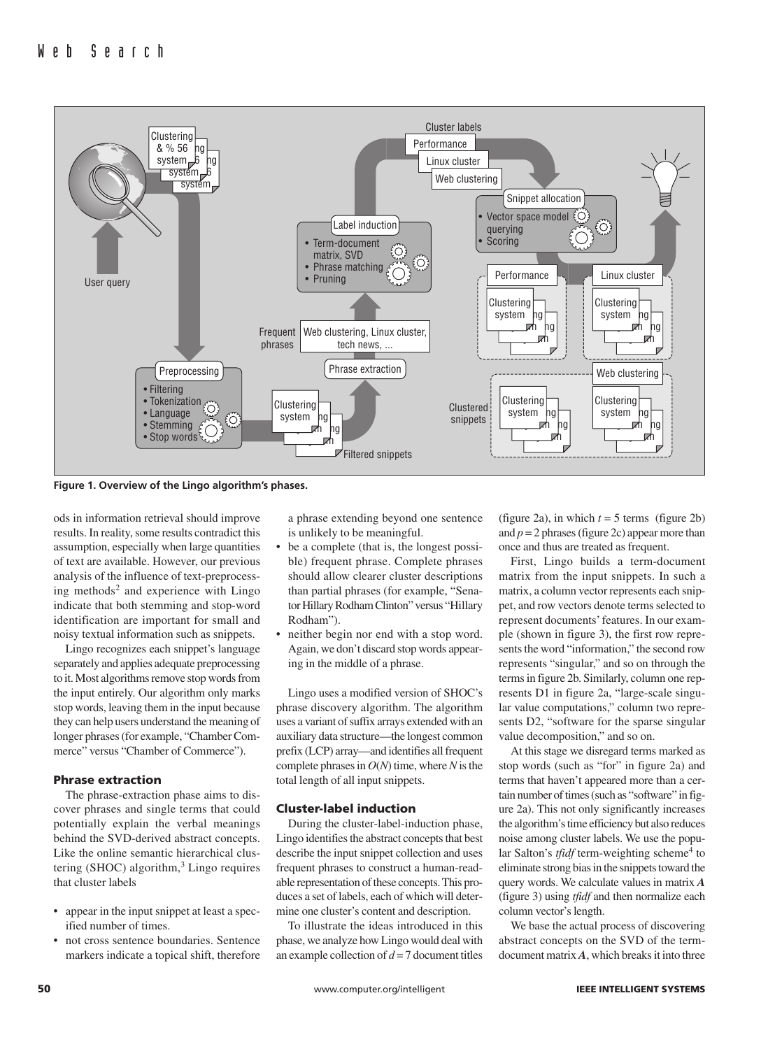

**Figure 1. Overview of the Lingo algorithm's phases.**

ods in information retrieval should improve results. In reality, some results contradict this assumption, especially when large quantities of text are available. However, our previous analysis of the influence of text-preprocessing methods<sup>2</sup> and experience with Lingo indicate that both stemming and stop-word identification are important for small and noisy textual information such as snippets.

Lingo recognizes each snippet's language separately and applies adequate preprocessing to it. Most algorithms remove stop words from the input entirely. Our algorithm only marks stop words, leaving them in the input because they can help users understand the meaning of longer phrases (for example, "Chamber Commerce" versus "Chamber of Commerce").

# **Phrase extraction**

The phrase-extraction phase aims to discover phrases and single terms that could potentially explain the verbal meanings behind the SVD-derived abstract concepts. Like the online semantic hierarchical clustering (SHOC) algorithm,<sup>3</sup> Lingo requires that cluster labels

- appear in the input snippet at least a specified number of times.
- not cross sentence boundaries. Sentence markers indicate a topical shift, therefore

a phrase extending beyond one sentence is unlikely to be meaningful.

- be a complete (that is, the longest possible) frequent phrase. Complete phrases should allow clearer cluster descriptions than partial phrases (for example, "Senator Hillary Rodham Clinton" versus "Hillary Rodham").
- neither begin nor end with a stop word. Again, we don't discard stop words appearing in the middle of a phrase.

Lingo uses a modified version of SHOC's phrase discovery algorithm. The algorithm uses a variant of suffix arrays extended with an auxiliary data structure—the longest common prefix (LCP) array—and identifies all frequent complete phrases in *O*(*N*) time, where *N*is the total length of all input snippets.

# **Cluster-label induction**

During the cluster-label-induction phase, Lingo identifies the abstract concepts that best describe the input snippet collection and uses frequent phrases to construct a human-readable representation of these concepts. This produces a set of labels, each of which will determine one cluster's content and description.

To illustrate the ideas introduced in this phase, we analyze how Lingo would deal with an example collection of  $d = 7$  document titles (figure 2a), in which  $t = 5$  terms (figure 2b) and  $p = 2$  phrases (figure 2c) appear more than once and thus are treated as frequent.

First, Lingo builds a term-document matrix from the input snippets. In such a matrix, a column vector represents each snippet, and row vectors denote terms selected to represent documents' features. In our example (shown in figure 3), the first row represents the word "information," the second row represents "singular," and so on through the terms in figure 2b. Similarly, column one represents D1 in figure 2a, "large-scale singular value computations," column two represents D2, "software for the sparse singular value decomposition," and so on.

At this stage we disregard terms marked as stop words (such as "for" in figure 2a) and terms that haven't appeared more than a certain number of times (such as "software" in figure 2a). This not only significantly increases the algorithm's time efficiency but also reduces noise among cluster labels. We use the popular Salton's *tfidf* term-weighting scheme<sup>4</sup> to eliminate strong bias in the snippets toward the query words. We calculate values in matrix *A* (figure 3) using *tfidf* and then normalize each column vector's length.

We base the actual process of discovering abstract concepts on the SVD of the termdocument matrix *A*, which breaks it into three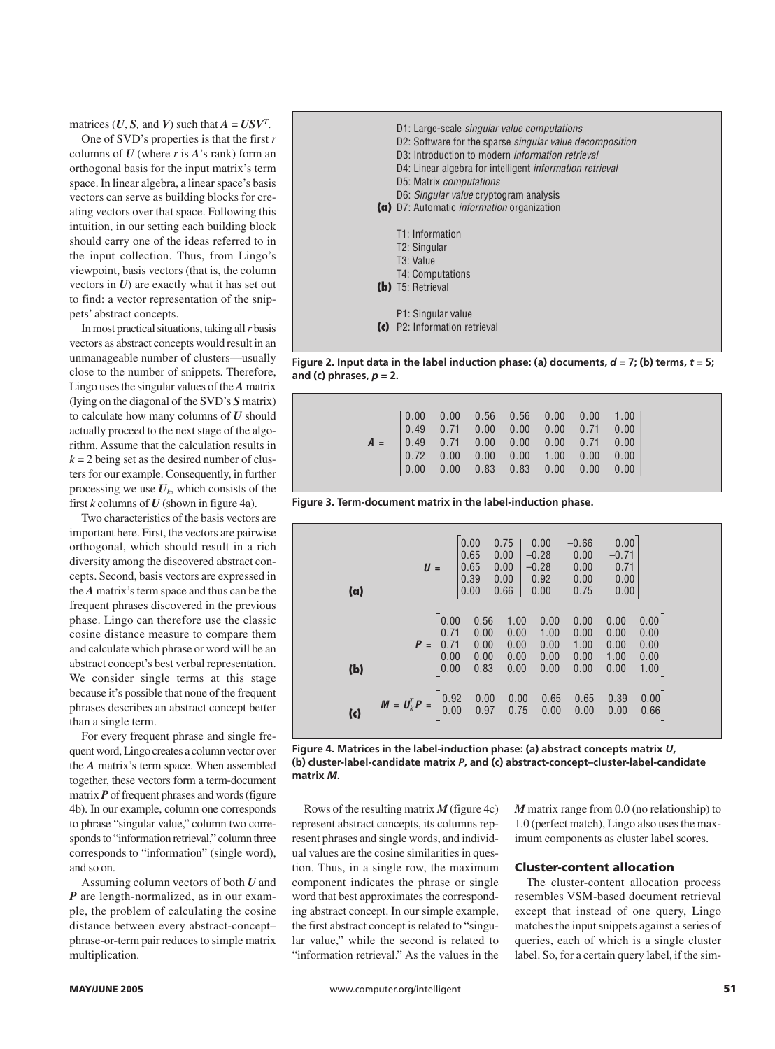matrices (*U*, *S*, and *V*) such that  $A = USV<sup>T</sup>$ .

One of SVD's properties is that the first *r* columns of *U* (where *r* is *A*'s rank) form an orthogonal basis for the input matrix's term space. In linear algebra, a linear space's basis vectors can serve as building blocks for creating vectors over that space. Following this intuition, in our setting each building block should carry one of the ideas referred to in the input collection. Thus, from Lingo's viewpoint, basis vectors (that is, the column vectors in *U*) are exactly what it has set out to find: a vector representation of the snippets' abstract concepts.

In most practical situations, taking all *r* basis vectors as abstract concepts would result in an unmanageable number of clusters—usually close to the number of snippets. Therefore, Lingo uses the singular values of the *A* matrix (lying on the diagonal of the SVD's *S* matrix) to calculate how many columns of *U* should actually proceed to the next stage of the algorithm. Assume that the calculation results in  $k = 2$  being set as the desired number of clusters for our example. Consequently, in further processing we use  $U_k$ , which consists of the first *k* columns of *U* (shown in figure 4a).

Two characteristics of the basis vectors are important here. First, the vectors are pairwise orthogonal, which should result in a rich diversity among the discovered abstract concepts. Second, basis vectors are expressed in the *A* matrix's term space and thus can be the frequent phrases discovered in the previous phase. Lingo can therefore use the classic cosine distance measure to compare them and calculate which phrase or word will be an abstract concept's best verbal representation. We consider single terms at this stage because it's possible that none of the frequent phrases describes an abstract concept better than a single term.

For every frequent phrase and single frequent word, Lingo creates a column vector over the *A* matrix's term space. When assembled together, these vectors form a term-document matrix *P*of frequent phrases and words (figure 4b). In our example, column one corresponds to phrase "singular value," column two corresponds to "information retrieval," column three corresponds to "information" (single word), and so on.

Assuming column vectors of both *U* and *P* are length-normalized, as in our example, the problem of calculating the cosine distance between every abstract-concept– phrase-or-term pair reduces to simple matrix multiplication.



**Figure 2. Input data in the label induction phase: (a) documents,**  $d = 7$ **; (b) terms,**  $t = 5$ **; and (c) phrases,** *p* **= 2.**

| $\pmb{A} = \left[\begin{array}{cccccccc} 0.00 & 0.00 & 0.56 & 0.56 & 0.00 & 0.00 & 1.00 \\ 0.49 & 0.71 & 0.00 & 0.00 & 0.00 & 0.71 & 0.00 \\ 0.49 & 0.71 & 0.00 & 0.00 & 0.00 & 0.71 & 0.00 \\ 0.72 & 0.00 & 0.00 & 0.00 & 1.00 & 0.00 & 0.00 \\ 0.00 & 0.00 & 0.83 & 0.83 & 0.00 & 0.00$ |  |  |  |  |  |  |  |
|-------------------------------------------------------------------------------------------------------------------------------------------------------------------------------------------------------------------------------------------------------------------------------------------|--|--|--|--|--|--|--|
|-------------------------------------------------------------------------------------------------------------------------------------------------------------------------------------------------------------------------------------------------------------------------------------------|--|--|--|--|--|--|--|

**Figure 3. Term-document matrix in the label-induction phase.**

| (a)            | $U =$                                                                                  |                                                                                                      | $\begin{array}{ l} 0.00 \\ 0.65 \end{array}$<br>$\begin{array}{r} 0.65 \\ 0.39 \\ 0.00 \end{array}$ | 0.75<br>0.00<br>0.00<br>0.00<br>0.66 | 0.00<br>$-0.28$<br>$-0.28$<br>0.92<br>0.00 | $-0.66$<br>0.00<br>0.00<br>0.00<br>0.75 | 0.00<br>$-0.71$<br>0.71<br>0.00<br>0.00 |                                      |  |
|----------------|----------------------------------------------------------------------------------------|------------------------------------------------------------------------------------------------------|-----------------------------------------------------------------------------------------------------|--------------------------------------|--------------------------------------------|-----------------------------------------|-----------------------------------------|--------------------------------------|--|
| (b)            | $P =$                                                                                  | $\begin{array}{ c} 0.00 \\ 0.71 \end{array}$<br>$\begin{array}{ l} 0.71 \\ 0.00 \\ 0.00 \end{array}$ | 0.56<br>0.00<br>0.00<br>0.00<br>0.83                                                                | 1.00<br>0.00<br>0.00<br>0.00<br>0.00 | 0.00<br>1.00<br>0.00<br>0.00<br>0.00       | 0.00<br>0.00<br>1.00<br>0.00<br>0.00    | 0.00<br>0.00<br>0.00<br>1.00<br>0.00    | 0.00<br>0.00<br>0.00<br>0.00<br>1.00 |  |
| $\overline{a}$ | $M = U_k^T P = \begin{bmatrix} 0.92 & 0.00 & 0.00 \\ 0.00 & 0.97 & 0.75 \end{bmatrix}$ |                                                                                                      |                                                                                                     |                                      | 0.65<br>0.00                               | 0.65<br>0.00                            | 0.39<br>0.00                            | 0.00<br>0.66                         |  |

**Figure 4. Matrices in the label-induction phase: (a) abstract concepts matrix** *U***, (b) cluster-label-candidate matrix** *P***, and (c) abstract-concept–cluster-label-candidate matrix** *M***.**

Rows of the resulting matrix *M* (figure 4c) represent abstract concepts, its columns represent phrases and single words, and individual values are the cosine similarities in question. Thus, in a single row, the maximum component indicates the phrase or single word that best approximates the corresponding abstract concept. In our simple example, the first abstract concept is related to "singular value," while the second is related to "information retrieval." As the values in the *M* matrix range from 0.0 (no relationship) to 1.0 (perfect match), Lingo also uses the maximum components as cluster label scores.

# **Cluster-content allocation**

The cluster-content allocation process resembles VSM-based document retrieval except that instead of one query, Lingo matches the input snippets against a series of queries, each of which is a single cluster label. So, for a certain query label, if the sim-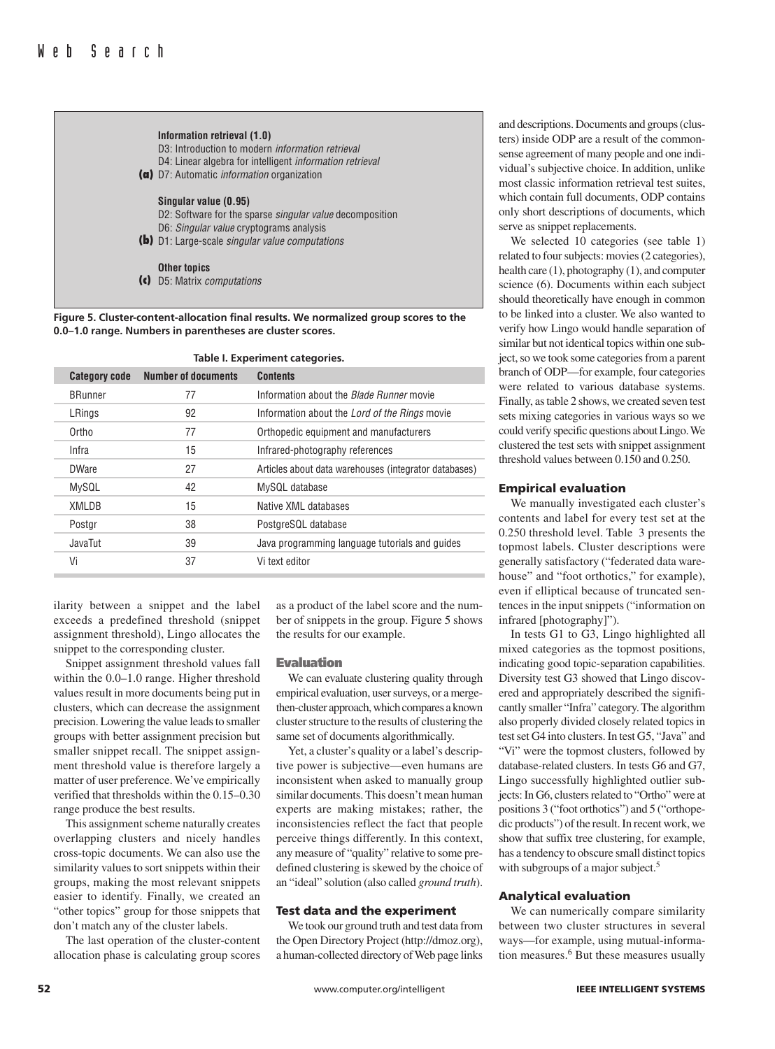#### **Information retrieval (1.0)**

D3: Introduction to modern *information retrieval* 

- D4: Linear algebra for intelligent *information retrieval*
- D7: Automatic information organization **(a)**

#### **Singular value (0.95)**

D2: Software for the sparse *singular value* decomposition D6: Singular value cryptograms analysis

**(b)** D1: Large-scale *singular value computations* 

#### **Other topics**

D5: Matrix computations **(c)**

**Figure 5. Cluster-content-allocation final results. We normalized group scores to the 0.0–1.0 range. Numbers in parentheses are cluster scores.**

| Table I. Experiment categories. |                                                    |    |                                                       |  |  |
|---------------------------------|----------------------------------------------------|----|-------------------------------------------------------|--|--|
|                                 | <b>Category code</b><br><b>Number of documents</b> |    | <b>Contents</b>                                       |  |  |
| <b>BRunner</b>                  | 77                                                 |    | Information about the <i>Blade Runner</i> movie       |  |  |
| LRings                          | 92                                                 |    | Information about the Lord of the Rings movie         |  |  |
| Ortho                           | 77                                                 |    | Orthopedic equipment and manufacturers                |  |  |
| Infra                           |                                                    | 15 | Infrared-photography references                       |  |  |
| <b>DWare</b>                    | 27                                                 |    | Articles about data warehouses (integrator databases) |  |  |
| <b>MySQL</b>                    | 42                                                 |    | MySQL database                                        |  |  |
| XMLDB                           |                                                    | 15 | Native XMI databases                                  |  |  |
| Postgr                          |                                                    | 38 | PostgreSQL database                                   |  |  |
| JavaTut                         |                                                    | 39 | Java programming language tutorials and guides        |  |  |
| Vi                              | 37                                                 |    | Vi text editor                                        |  |  |
|                                 |                                                    |    |                                                       |  |  |

ilarity between a snippet and the label exceeds a predefined threshold (snippet assignment threshold), Lingo allocates the snippet to the corresponding cluster.

Snippet assignment threshold values fall within the 0.0–1.0 range. Higher threshold values result in more documents being put in clusters, which can decrease the assignment precision. Lowering the value leads to smaller groups with better assignment precision but smaller snippet recall. The snippet assignment threshold value is therefore largely a matter of user preference. We've empirically verified that thresholds within the 0.15–0.30 range produce the best results.

This assignment scheme naturally creates overlapping clusters and nicely handles cross-topic documents. We can also use the similarity values to sort snippets within their groups, making the most relevant snippets easier to identify. Finally, we created an "other topics" group for those snippets that don't match any of the cluster labels.

The last operation of the cluster-content allocation phase is calculating group scores as a product of the label score and the number of snippets in the group. Figure 5 shows the results for our example.

# **Evaluation**

We can evaluate clustering quality through empirical evaluation, user surveys, or a mergethen-cluster approach,which compares a known cluster structure to the results of clustering the same set of documents algorithmically.

Yet, a cluster's quality or a label's descriptive power is subjective—even humans are inconsistent when asked to manually group similar documents. This doesn't mean human experts are making mistakes; rather, the inconsistencies reflect the fact that people perceive things differently. In this context, any measure of "quality" relative to some predefined clustering is skewed by the choice of an "ideal" solution (also called *ground truth*).

## **Test data and the experiment**

We took our ground truth and test data from the Open Directory Project (http://dmoz.org), a human-collected directory of Web page links

and descriptions. Documents and groups (clusters) inside ODP are a result of the commonsense agreement of many people and one individual's subjective choice. In addition, unlike most classic information retrieval test suites, which contain full documents, ODP contains only short descriptions of documents, which serve as snippet replacements.

We selected 10 categories (see table 1) related to four subjects: movies (2 categories), health care (1), photography (1), and computer science (6). Documents within each subject should theoretically have enough in common to be linked into a cluster. We also wanted to verify how Lingo would handle separation of similar but not identical topics within one subject, so we took some categories from a parent branch of ODP—for example, four categories were related to various database systems. Finally, as table 2 shows, we created seven test sets mixing categories in various ways so we could verify specific questions about Lingo. We clustered the test sets with snippet assignment threshold values between 0.150 and 0.250.

## **Empirical evaluation**

We manually investigated each cluster's contents and label for every test set at the 0.250 threshold level. Table 3 presents the topmost labels. Cluster descriptions were generally satisfactory ("federated data warehouse" and "foot orthotics," for example), even if elliptical because of truncated sentences in the input snippets ("information on infrared [photography]").

In tests G1 to G3, Lingo highlighted all mixed categories as the topmost positions, indicating good topic-separation capabilities. Diversity test G3 showed that Lingo discovered and appropriately described the significantly smaller "Infra" category. The algorithm also properly divided closely related topics in test set G4 into clusters. In test G5, "Java" and "Vi" were the topmost clusters, followed by database-related clusters. In tests G6 and G7, Lingo successfully highlighted outlier subjects: In G6, clusters related to "Ortho" were at positions 3 ("foot orthotics") and 5 ("orthopedic products") of the result. In recent work, we show that suffix tree clustering, for example, has a tendency to obscure small distinct topics with subgroups of a major subject.<sup>5</sup>

# **Analytical evaluation**

We can numerically compare similarity between two cluster structures in several ways—for example, using mutual-information measures.<sup>6</sup> But these measures usually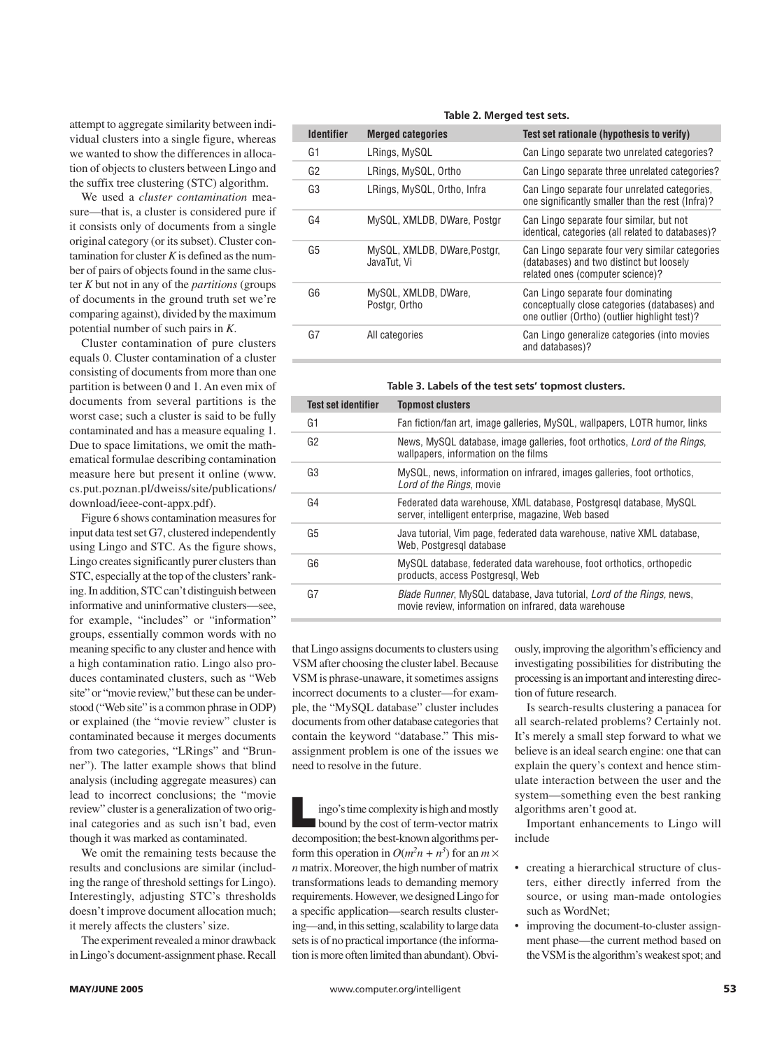attempt to aggregate similarity between individual clusters into a single figure, whereas we wanted to show the differences in allocation of objects to clusters between Lingo and the suffix tree clustering (STC) algorithm.

We used a *cluster contamination* measure—that is, a cluster is considered pure if it consists only of documents from a single original category (or its subset). Cluster contamination for cluster  $K$  is defined as the number of pairs of objects found in the same cluster *K* but not in any of the *partitions* (groups of documents in the ground truth set we're comparing against), divided by the maximum potential number of such pairs in *K*.

Cluster contamination of pure clusters equals 0. Cluster contamination of a cluster consisting of documents from more than one partition is between 0 and 1. An even mix of documents from several partitions is the worst case; such a cluster is said to be fully contaminated and has a measure equaling 1. Due to space limitations, we omit the mathematical formulae describing contamination measure here but present it online (www. cs.put.poznan.pl/dweiss/site/publications/ download/ieee-cont-appx.pdf).

Figure 6 shows contamination measures for input data test set G7, clustered independently using Lingo and STC. As the figure shows, Lingo creates significantly purer clusters than STC, especially at the top of the clusters'ranking. In addition, STC can't distinguish between informative and uninformative clusters—see, for example, "includes" or "information" groups, essentially common words with no meaning specific to any cluster and hence with a high contamination ratio. Lingo also produces contaminated clusters, such as "Web site" or "movie review," but these can be understood ("Web site" is a common phrase in ODP) or explained (the "movie review" cluster is contaminated because it merges documents from two categories, "LRings" and "Brunner"). The latter example shows that blind analysis (including aggregate measures) can lead to incorrect conclusions; the "movie review" cluster is a generalization of two original categories and as such isn't bad, even though it was marked as contaminated.

We omit the remaining tests because the results and conclusions are similar (including the range of threshold settings for Lingo). Interestingly, adjusting STC's thresholds doesn't improve document allocation much; it merely affects the clusters' size.

The experiment revealed a minor drawback in Lingo's document-assignment phase. Recall

| <b>Identifier</b> | <b>Merged categories</b>                    | Test set rationale (hypothesis to verify)                                                                                            |
|-------------------|---------------------------------------------|--------------------------------------------------------------------------------------------------------------------------------------|
| G1                | LRings, MySQL                               | Can Lingo separate two unrelated categories?                                                                                         |
| G2                | LRings, MySQL, Ortho                        | Can Lingo separate three unrelated categories?                                                                                       |
| G <sub>3</sub>    | LRings, MySQL, Ortho, Infra                 | Can Lingo separate four unrelated categories,<br>one significantly smaller than the rest (Infra)?                                    |
| G4                | MySQL, XMLDB, DWare, Postgr                 | Can Lingo separate four similar, but not<br>identical, categories (all related to databases)?                                        |
| G5                | MySQL, XMLDB, DWare, Postgr,<br>JavaTut, Vi | Can Lingo separate four very similar categories<br>(databases) and two distinct but loosely<br>related ones (computer science)?      |
| G6                | MySQL, XMLDB, DWare,<br>Postgr, Ortho       | Can Lingo separate four dominating<br>conceptually close categories (databases) and<br>one outlier (Ortho) (outlier highlight test)? |
| G7                | All categories                              | Can Lingo generalize categories (into movies<br>and databases)?                                                                      |

# **Table 2. Merged test sets.**

# **Table 3. Labels of the test sets' topmost clusters.**

| <b>Test set identifier</b> | <b>Topmost clusters</b>                                                                                                                        |
|----------------------------|------------------------------------------------------------------------------------------------------------------------------------------------|
| G1                         | Fan fiction/fan art, image galleries, MySQL, wallpapers, LOTR humor, links                                                                     |
| G <sub>2</sub>             | News, MySQL database, image galleries, foot orthotics, Lord of the Rings,<br>wallpapers, information on the films                              |
| G3                         | MySQL, news, information on infrared, images galleries, foot orthotics,<br>Lord of the Rings, movie                                            |
| G4                         | Federated data warehouse, XML database, Postgresgl database, MySQL<br>server, intelligent enterprise, magazine, Web based                      |
| G5                         | Java tutorial, Vim page, federated data warehouse, native XML database,<br>Web, Postgresgl database                                            |
| G6                         | MySQL database, federated data warehouse, foot orthotics, orthopedic<br>products, access Postgresgl, Web                                       |
| G7                         | <i>Blade Runner</i> , MySQL database, Java tutorial, <i>Lord of the Rings</i> , news,<br>movie review, information on infrared, data warehouse |

that Lingo assigns documents to clusters using VSM after choosing the cluster label. Because VSM is phrase-unaware, it sometimes assigns incorrect documents to a cluster—for example, the "MySQL database" cluster includes documents from other database categories that contain the keyword "database." This misassignment problem is one of the issues we need to resolve in the future.

**Lingo's time complexity is high and mostly<br>bound by the cost of term-vector matrix** decomposition; the best-known algorithms perform this operation in  $O(m^2n + n^3)$  for an  $m \times$  $n$  matrix. Moreover, the high number of matrix transformations leads to demanding memory requirements. However, we designed Lingo for a specific application—search results clustering—and, in this setting, scalability to large data sets is of no practical importance (the information is more often limited than abundant). Obviously, improving the algorithm's efficiency and investigating possibilities for distributing the processing is an important and interesting direction of future research.

Is search-results clustering a panacea for all search-related problems? Certainly not. It's merely a small step forward to what we believe is an ideal search engine: one that can explain the query's context and hence stimulate interaction between the user and the system—something even the best ranking algorithms aren't good at.

Important enhancements to Lingo will include

- creating a hierarchical structure of clusters, either directly inferred from the source, or using man-made ontologies such as WordNet;
- improving the document-to-cluster assignment phase—the current method based on the VSM is the algorithm's weakest spot; and